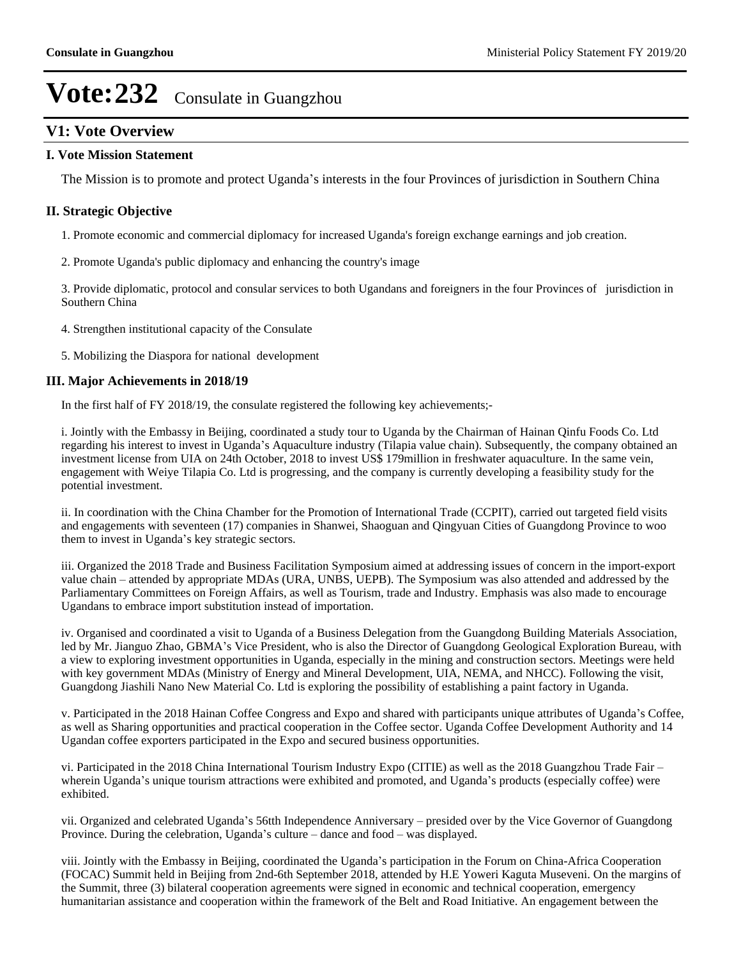# **V1: Vote Overview**

### **I. Vote Mission Statement**

The Mission is to promote and protect Uganda's interests in the four Provinces of jurisdiction in Southern China

### **II. Strategic Objective**

- 1. Promote economic and commercial diplomacy for increased Uganda's foreign exchange earnings and job creation.
- 2. Promote Uganda's public diplomacy and enhancing the country's image

3. Provide diplomatic, protocol and consular services to both Ugandans and foreigners in the four Provinces of jurisdiction in Southern China

- 4. Strengthen institutional capacity of the Consulate
- 5. Mobilizing the Diaspora for national development

#### **III. Major Achievements in 2018/19**

In the first half of FY 2018/19, the consulate registered the following key achievements;-

i. Jointly with the Embassy in Beijing, coordinated a study tour to Uganda by the Chairman of Hainan Qinfu Foods Co. Ltd regarding his interest to invest in Uganda's Aquaculture industry (Tilapia value chain). Subsequently, the company obtained an investment license from UIA on 24th October, 2018 to invest US\$ 179million in freshwater aquaculture. In the same vein, engagement with Weiye Tilapia Co. Ltd is progressing, and the company is currently developing a feasibility study for the potential investment.

ii. In coordination with the China Chamber for the Promotion of International Trade (CCPIT), carried out targeted field visits and engagements with seventeen (17) companies in Shanwei, Shaoguan and Qingyuan Cities of Guangdong Province to woo them to invest in Uganda's key strategic sectors.

iii. Organized the 2018 Trade and Business Facilitation Symposium aimed at addressing issues of concern in the import-export value chain – attended by appropriate MDAs (URA, UNBS, UEPB). The Symposium was also attended and addressed by the Parliamentary Committees on Foreign Affairs, as well as Tourism, trade and Industry. Emphasis was also made to encourage Ugandans to embrace import substitution instead of importation.

iv. Organised and coordinated a visit to Uganda of a Business Delegation from the Guangdong Building Materials Association, led by Mr. Jianguo Zhao, GBMA's Vice President, who is also the Director of Guangdong Geological Exploration Bureau, with a view to exploring investment opportunities in Uganda, especially in the mining and construction sectors. Meetings were held with key government MDAs (Ministry of Energy and Mineral Development, UIA, NEMA, and NHCC). Following the visit, Guangdong Jiashili Nano New Material Co. Ltd is exploring the possibility of establishing a paint factory in Uganda.

v. Participated in the 2018 Hainan Coffee Congress and Expo and shared with participants unique attributes of Uganda's Coffee, as well as Sharing opportunities and practical cooperation in the Coffee sector. Uganda Coffee Development Authority and 14 Ugandan coffee exporters participated in the Expo and secured business opportunities.

vi. Participated in the 2018 China International Tourism Industry Expo (CITIE) as well as the 2018 Guangzhou Trade Fair wherein Uganda's unique tourism attractions were exhibited and promoted, and Uganda's products (especially coffee) were exhibited.

vii. Organized and celebrated Uganda's 56tth Independence Anniversary – presided over by the Vice Governor of Guangdong Province. During the celebration, Uganda's culture  $-\theta$  dance and food  $-\theta$  was displayed.

viii. Jointly with the Embassy in Beijing, coordinated the Uganda's participation in the Forum on China-Africa Cooperation (FOCAC) Summit held in Beijing from 2nd-6th September 2018, attended by H.E Yoweri Kaguta Museveni. On the margins of the Summit, three (3) bilateral cooperation agreements were signed in economic and technical cooperation, emergency humanitarian assistance and cooperation within the framework of the Belt and Road Initiative. An engagement between the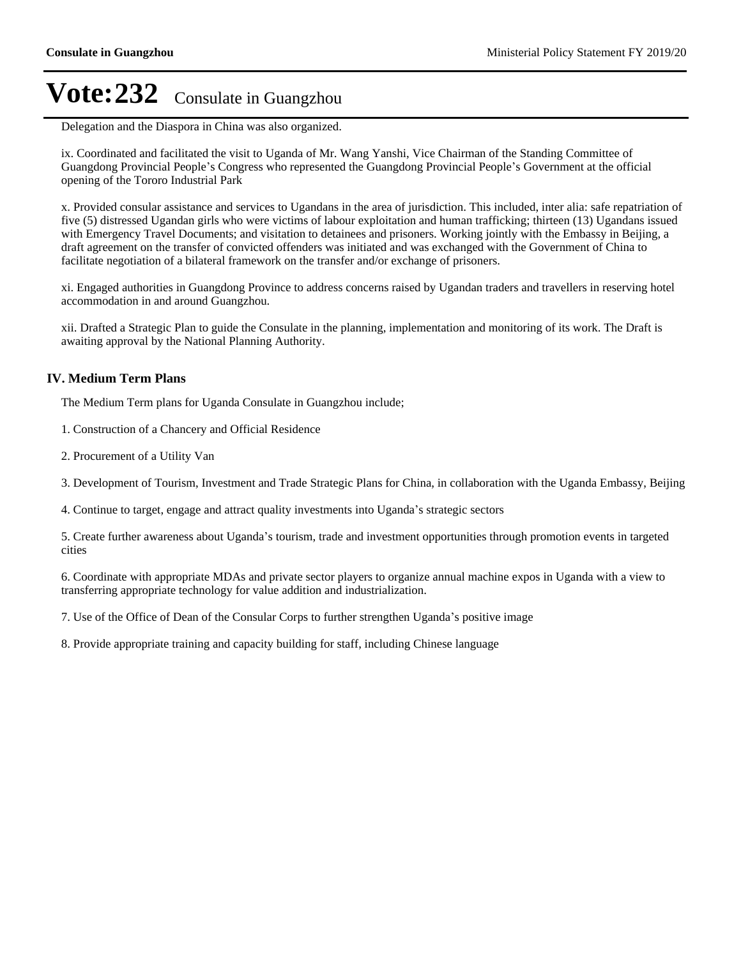Delegation and the Diaspora in China was also organized.

ix. Coordinated and facilitated the visit to Uganda of Mr. Wang Yanshi, Vice Chairman of the Standing Committee of Guangdong Provincial People's Congress who represented the Guangdong Provincial People's Government at the official opening of the Tororo Industrial Park

x. Provided consular assistance and services to Ugandans in the area of jurisdiction. This included, inter alia: safe repatriation of five (5) distressed Ugandan girls who were victims of labour exploitation and human trafficking; thirteen (13) Ugandans issued with Emergency Travel Documents; and visitation to detainees and prisoners. Working jointly with the Embassy in Beijing, a draft agreement on the transfer of convicted offenders was initiated and was exchanged with the Government of China to facilitate negotiation of a bilateral framework on the transfer and/or exchange of prisoners.

xi. Engaged authorities in Guangdong Province to address concerns raised by Ugandan traders and travellers in reserving hotel accommodation in and around Guangzhou.

xii. Drafted a Strategic Plan to guide the Consulate in the planning, implementation and monitoring of its work. The Draft is awaiting approval by the National Planning Authority.

## **IV. Medium Term Plans**

The Medium Term plans for Uganda Consulate in Guangzhou include;

- 1. Construction of a Chancery and Official Residence
- 2. Procurement of a Utility Van
- 3. Development of Tourism, Investment and Trade Strategic Plans for China, in collaboration with the Uganda Embassy, Beijing
- 4. Continue to target, engage and attract quality investments into Uganda's strategic sectors

5. Create further awareness about Uganda's tourism, trade and investment opportunities through promotion events in targeted cities

6. Coordinate with appropriate MDAs and private sector players to organize annual machine expos in Uganda with a view to transferring appropriate technology for value addition and industrialization.

7. Use of the Office of Dean of the Consular Corps to further strengthen Uganda's positive image

8. Provide appropriate training and capacity building for staff, including Chinese language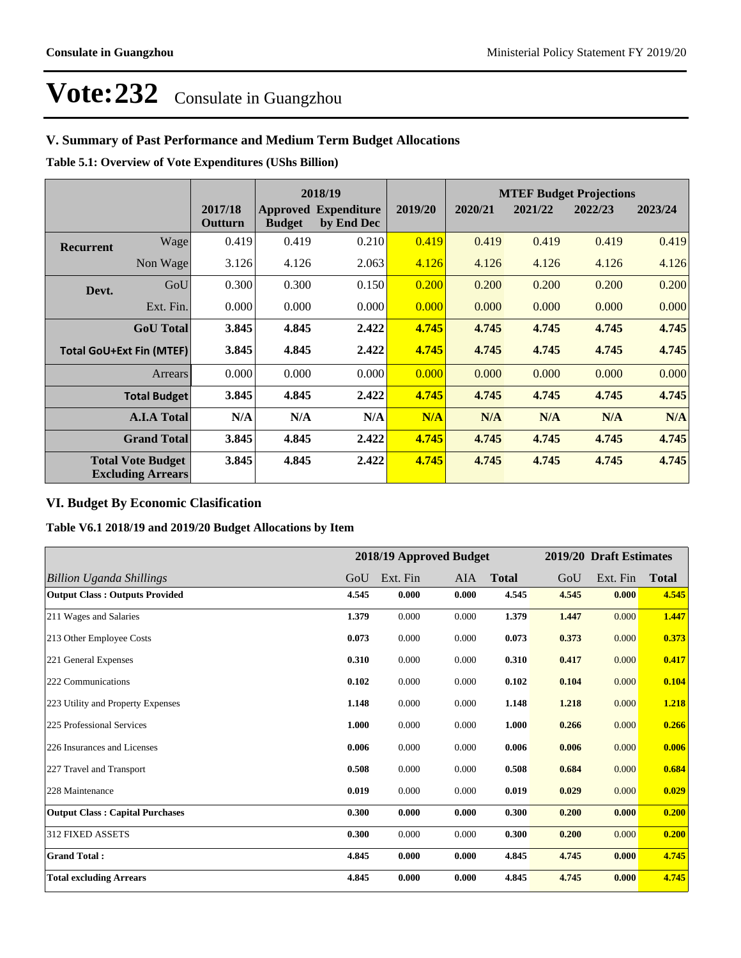# **V. Summary of Past Performance and Medium Term Budget Allocations**

**Table 5.1: Overview of Vote Expenditures (UShs Billion)**

|                                                      |                    |                    |               | 2018/19                                   |         | <b>MTEF Budget Projections</b> |         |         |         |
|------------------------------------------------------|--------------------|--------------------|---------------|-------------------------------------------|---------|--------------------------------|---------|---------|---------|
|                                                      |                    | 2017/18<br>Outturn | <b>Budget</b> | <b>Approved Expenditure</b><br>by End Dec | 2019/20 | 2020/21                        | 2021/22 | 2022/23 | 2023/24 |
| <b>Recurrent</b>                                     | Wage               | 0.419              | 0.419         | 0.210                                     | 0.419   | 0.419                          | 0.419   | 0.419   | 0.419   |
|                                                      | Non Wage           | 3.126              | 4.126         | 2.063                                     | 4.126   | 4.126                          | 4.126   | 4.126   | 4.126   |
| Devt.                                                | GoU                | 0.300              | 0.300         | 0.150                                     | 0.200   | 0.200                          | 0.200   | 0.200   | 0.200   |
|                                                      | Ext. Fin.          | 0.000              | 0.000         | 0.000                                     | 0.000   | 0.000                          | 0.000   | 0.000   | 0.000   |
|                                                      | <b>GoU</b> Total   | 3.845              | 4.845         | 2.422                                     | 4.745   | 4.745                          | 4.745   | 4.745   | 4.745   |
| <b>Total GoU+Ext Fin (MTEF)</b>                      |                    | 3.845              | 4.845         | 2.422                                     | 4.745   | 4.745                          | 4.745   | 4.745   | 4.745   |
|                                                      | Arrears            | 0.000              | 0.000         | 0.000                                     | 0.000   | 0.000                          | 0.000   | 0.000   | 0.000   |
| <b>Total Budget</b>                                  |                    | 3.845              | 4.845         | 2.422                                     | 4.745   | 4.745                          | 4.745   | 4.745   | 4.745   |
|                                                      | <b>A.I.A Total</b> | N/A                | N/A           | N/A                                       | N/A     | N/A                            | N/A     | N/A     | N/A     |
| <b>Grand Total</b>                                   |                    | 3.845              | 4.845         | 2.422                                     | 4.745   | 4.745                          | 4.745   | 4.745   | 4.745   |
| <b>Total Vote Budget</b><br><b>Excluding Arrears</b> |                    | 3.845              | 4.845         | 2.422                                     | 4.745   | 4.745                          | 4.745   | 4.745   | 4.745   |

# **VI. Budget By Economic Clasification**

**Table V6.1 2018/19 and 2019/20 Budget Allocations by Item**

|                                        |       | 2018/19 Approved Budget |       |              |       | 2019/20 Draft Estimates |              |
|----------------------------------------|-------|-------------------------|-------|--------------|-------|-------------------------|--------------|
| Billion Uganda Shillings               | GoU   | Ext. Fin                | AIA   | <b>Total</b> | GoU   | Ext. Fin                | <b>Total</b> |
| <b>Output Class: Outputs Provided</b>  | 4.545 | 0.000                   | 0.000 | 4.545        | 4.545 | 0.000                   | 4.545        |
| 211 Wages and Salaries                 | 1.379 | 0.000                   | 0.000 | 1.379        | 1.447 | 0.000                   | 1.447        |
| 213 Other Employee Costs               | 0.073 | 0.000                   | 0.000 | 0.073        | 0.373 | 0.000                   | 0.373        |
| 221 General Expenses                   | 0.310 | 0.000                   | 0.000 | 0.310        | 0.417 | 0.000                   | 0.417        |
| 222 Communications                     | 0.102 | 0.000                   | 0.000 | 0.102        | 0.104 | 0.000                   | 0.104        |
| 223 Utility and Property Expenses      | 1.148 | 0.000                   | 0.000 | 1.148        | 1.218 | 0.000                   | 1.218        |
| 225 Professional Services              | 1.000 | 0.000                   | 0.000 | 1.000        | 0.266 | 0.000                   | 0.266        |
| 226 Insurances and Licenses            | 0.006 | 0.000                   | 0.000 | 0.006        | 0.006 | 0.000                   | 0.006        |
| 227 Travel and Transport               | 0.508 | 0.000                   | 0.000 | 0.508        | 0.684 | 0.000                   | 0.684        |
| 228 Maintenance                        | 0.019 | 0.000                   | 0.000 | 0.019        | 0.029 | 0.000                   | 0.029        |
| <b>Output Class: Capital Purchases</b> | 0.300 | 0.000                   | 0.000 | 0.300        | 0.200 | 0.000                   | 0.200        |
| <b>312 FIXED ASSETS</b>                | 0.300 | 0.000                   | 0.000 | 0.300        | 0.200 | 0.000                   | 0.200        |
| <b>Grand Total:</b>                    | 4.845 | 0.000                   | 0.000 | 4.845        | 4.745 | 0.000                   | 4.745        |
| <b>Total excluding Arrears</b>         | 4.845 | 0.000                   | 0.000 | 4.845        | 4.745 | 0.000                   | 4.745        |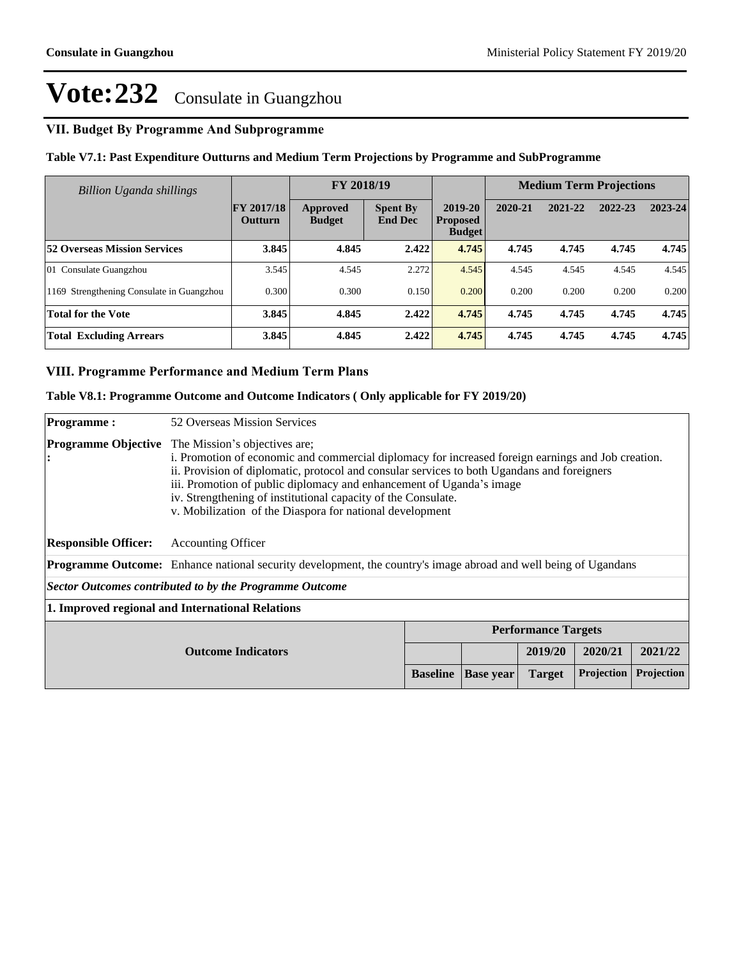# **VII. Budget By Programme And Subprogramme**

# **Table V7.1: Past Expenditure Outturns and Medium Term Projections by Programme and SubProgramme**

| Billion Uganda shillings                  |                                     | FY 2018/19                |                                   |                                             |         | <b>Medium Term Projections</b> |         |         |
|-------------------------------------------|-------------------------------------|---------------------------|-----------------------------------|---------------------------------------------|---------|--------------------------------|---------|---------|
|                                           | <b>FY 2017/18</b><br><b>Outturn</b> | Approved<br><b>Budget</b> | <b>Spent By</b><br><b>End Dec</b> | 2019-20<br><b>Proposed</b><br><b>Budget</b> | 2020-21 | 2021-22                        | 2022-23 | 2023-24 |
| <b>52 Overseas Mission Services</b>       | 3.845                               | 4.845                     | 2.422                             | 4.745                                       | 4.745   | 4.745                          | 4.745   | 4.745   |
| 01 Consulate Guangzhou                    | 3.545                               | 4.545                     | 2.272                             | 4.545                                       | 4.545   | 4.545                          | 4.545   | 4.545   |
| 1169 Strengthening Consulate in Guangzhou | 0.300                               | 0.300                     | 0.150                             | 0.200                                       | 0.200   | 0.200                          | 0.200   | 0.200   |
| <b>Total for the Vote</b>                 | 3.845                               | 4.845                     | 2.422                             | 4.745                                       | 4.745   | 4.745                          | 4.745   | 4.745   |
| <b>Total Excluding Arrears</b>            | 3.845                               | 4.845                     | 2.422                             | 4.745                                       | 4.745   | 4.745                          | 4.745   | 4.745   |

### **VIII. Programme Performance and Medium Term Plans**

### **Table V8.1: Programme Outcome and Outcome Indicators ( Only applicable for FY 2019/20)**

| <b>Programme:</b>                                                  | 52 Overseas Mission Services                                                                                                                                                                                                                                                                                                                                                                                                            |  |  |         |            |         |
|--------------------------------------------------------------------|-----------------------------------------------------------------------------------------------------------------------------------------------------------------------------------------------------------------------------------------------------------------------------------------------------------------------------------------------------------------------------------------------------------------------------------------|--|--|---------|------------|---------|
| <b>Programme Objective</b><br>: ا                                  | The Mission's objectives are;<br>i. Promotion of economic and commercial diplomacy for increased foreign earnings and Job creation.<br>ii. Provision of diplomatic, protocol and consular services to both Ugandans and foreigners<br>iii. Promotion of public diplomacy and enhancement of Uganda's image<br>iv. Strengthening of institutional capacity of the Consulate.<br>v. Mobilization of the Diaspora for national development |  |  |         |            |         |
| <b>Responsible Officer:</b>                                        | <b>Accounting Officer</b>                                                                                                                                                                                                                                                                                                                                                                                                               |  |  |         |            |         |
|                                                                    | <b>Programme Outcome:</b> Enhance national security development, the country's image abroad and well being of Ugandans                                                                                                                                                                                                                                                                                                                  |  |  |         |            |         |
| Sector Outcomes contributed to by the Programme Outcome            |                                                                                                                                                                                                                                                                                                                                                                                                                                         |  |  |         |            |         |
| 1. Improved regional and International Relations                   |                                                                                                                                                                                                                                                                                                                                                                                                                                         |  |  |         |            |         |
| <b>Performance Targets</b>                                         |                                                                                                                                                                                                                                                                                                                                                                                                                                         |  |  |         |            |         |
| <b>Outcome Indicators</b>                                          |                                                                                                                                                                                                                                                                                                                                                                                                                                         |  |  | 2019/20 | 2020/21    | 2021/22 |
| Projection<br><b>Baseline</b><br><b>Target</b><br><b>Base year</b> |                                                                                                                                                                                                                                                                                                                                                                                                                                         |  |  |         | Projection |         |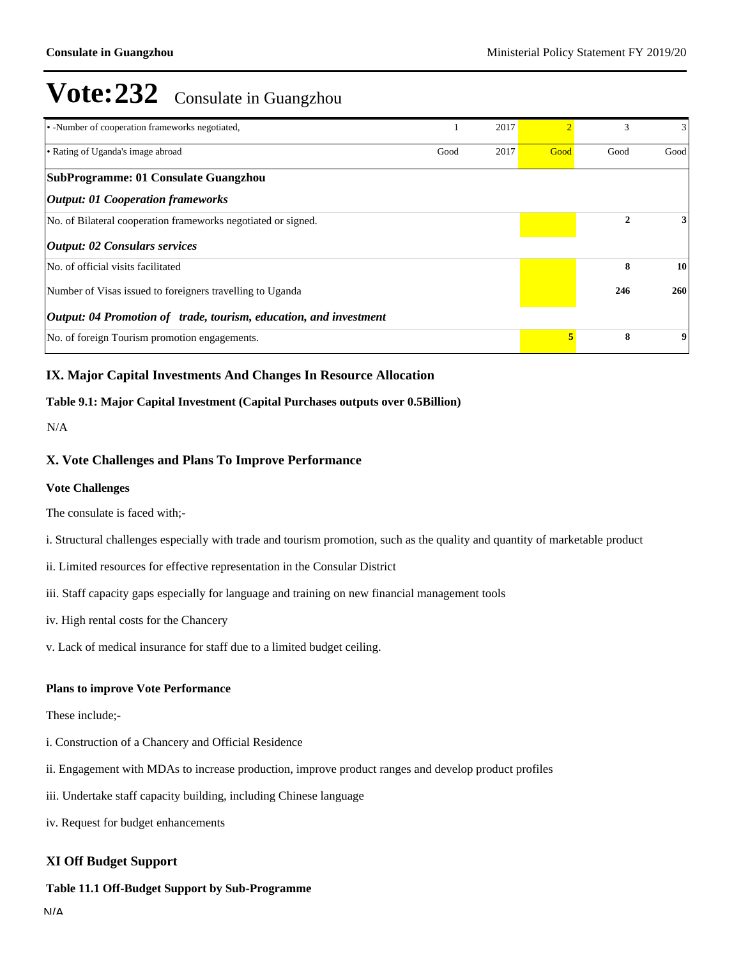| • -Number of cooperation frameworks negotiated,                   |      | 2017 |      | 3    | 3    |
|-------------------------------------------------------------------|------|------|------|------|------|
| • Rating of Uganda's image abroad                                 | Good | 2017 | Good | Good | Good |
| SubProgramme: 01 Consulate Guangzhou                              |      |      |      |      |      |
| <b>Output: 01 Cooperation frameworks</b>                          |      |      |      |      |      |
| No. of Bilateral cooperation frameworks negotiated or signed.     |      |      |      | 2    | 3    |
| <b>Output: 02 Consulars services</b>                              |      |      |      |      |      |
| No. of official visits facilitated                                |      |      |      | 8    | 10   |
| Number of Visas issued to foreigners travelling to Uganda         |      |      | 246  | 260  |      |
| Output: 04 Promotion of trade, tourism, education, and investment |      |      |      |      |      |
| No. of foreign Tourism promotion engagements.                     |      |      | 5.   | 8    | 9    |

# **IX. Major Capital Investments And Changes In Resource Allocation**

### **Table 9.1: Major Capital Investment (Capital Purchases outputs over 0.5Billion)**

N/A

## **X. Vote Challenges and Plans To Improve Performance**

#### **Vote Challenges**

The consulate is faced with;-

- i. Structural challenges especially with trade and tourism promotion, such as the quality and quantity of marketable product
- ii. Limited resources for effective representation in the Consular District
- iii. Staff capacity gaps especially for language and training on new financial management tools
- iv. High rental costs for the Chancery
- v. Lack of medical insurance for staff due to a limited budget ceiling.

#### **Plans to improve Vote Performance**

These include;-

- i. Construction of a Chancery and Official Residence
- ii. Engagement with MDAs to increase production, improve product ranges and develop product profiles
- iii. Undertake staff capacity building, including Chinese language
- iv. Request for budget enhancements

## **XI Off Budget Support**

#### **Table 11.1 Off-Budget Support by Sub-Programme**